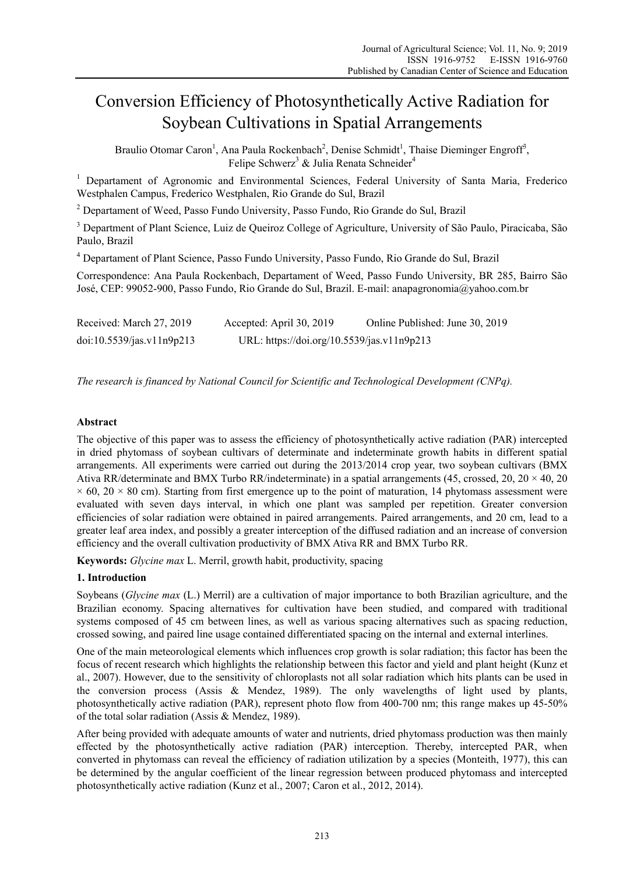# Conversion Efficiency of Photosynthetically Active Radiation for Soybean Cultivations in Spatial Arrangements

Braulio Otomar Caron<sup>1</sup>, Ana Paula Rockenbach<sup>2</sup>, Denise Schmidt<sup>1</sup>, Thaise Dieminger Engroff<sup>3</sup>, Felipe Schwerz<sup>3</sup> & Julia Renata Schneider<sup>4</sup>

<sup>1</sup> Departament of Agronomic and Environmental Sciences, Federal University of Santa Maria, Frederico Westphalen Campus, Frederico Westphalen, Rio Grande do Sul, Brazil

<sup>2</sup> Departament of Weed, Passo Fundo University, Passo Fundo, Rio Grande do Sul, Brazil

<sup>3</sup> Department of Plant Science, Luiz de Queiroz College of Agriculture, University of São Paulo, Piracicaba, São Paulo, Brazil

4 Departament of Plant Science, Passo Fundo University, Passo Fundo, Rio Grande do Sul, Brazil

Correspondence: Ana Paula Rockenbach, Departament of Weed, Passo Fundo University, BR 285, Bairro São José, CEP: 99052-900, Passo Fundo, Rio Grande do Sul, Brazil. E-mail: anapagronomia@yahoo.com.br

| Received: March 27, 2019  | Accepted: April 30, 2019                   | Online Published: June 30, 2019 |
|---------------------------|--------------------------------------------|---------------------------------|
| doi:10.5539/jas.v11n9p213 | URL: https://doi.org/10.5539/jas.v11n9p213 |                                 |

*The research is financed by National Council for Scientific and Technological Development (CNPq).* 

## **Abstract**

The objective of this paper was to assess the efficiency of photosynthetically active radiation (PAR) intercepted in dried phytomass of soybean cultivars of determinate and indeterminate growth habits in different spatial arrangements. All experiments were carried out during the 2013/2014 crop year, two soybean cultivars (BMX Ativa RR/determinate and BMX Turbo RR/indeterminate) in a spatial arrangements (45, crossed, 20, 20 × 40, 20  $\times$  60, 20  $\times$  80 cm). Starting from first emergence up to the point of maturation, 14 phytomass assessment were evaluated with seven days interval, in which one plant was sampled per repetition. Greater conversion efficiencies of solar radiation were obtained in paired arrangements. Paired arrangements, and 20 cm, lead to a greater leaf area index, and possibly a greater interception of the diffused radiation and an increase of conversion efficiency and the overall cultivation productivity of BMX Ativa RR and BMX Turbo RR.

**Keywords:** *Glycine max* L. Merril, growth habit, productivity, spacing

# **1. Introduction**

Soybeans (*Glycine max* (L.) Merril) are a cultivation of major importance to both Brazilian agriculture, and the Brazilian economy. Spacing alternatives for cultivation have been studied, and compared with traditional systems composed of 45 cm between lines, as well as various spacing alternatives such as spacing reduction, crossed sowing, and paired line usage contained differentiated spacing on the internal and external interlines.

One of the main meteorological elements which influences crop growth is solar radiation; this factor has been the focus of recent research which highlights the relationship between this factor and yield and plant height (Kunz et al., 2007). However, due to the sensitivity of chloroplasts not all solar radiation which hits plants can be used in the conversion process (Assis & Mendez, 1989). The only wavelengths of light used by plants, photosynthetically active radiation (PAR), represent photo flow from 400-700 nm; this range makes up 45-50% of the total solar radiation (Assis & Mendez, 1989).

After being provided with adequate amounts of water and nutrients, dried phytomass production was then mainly effected by the photosynthetically active radiation (PAR) interception. Thereby, intercepted PAR, when converted in phytomass can reveal the efficiency of radiation utilization by a species (Monteith, 1977), this can be determined by the angular coefficient of the linear regression between produced phytomass and intercepted photosynthetically active radiation (Kunz et al., 2007; Caron et al., 2012, 2014).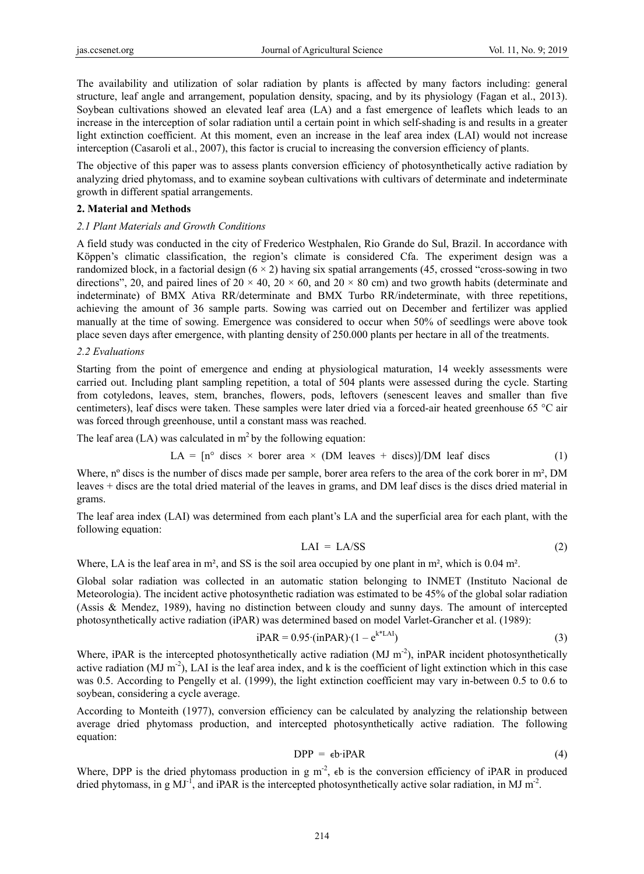The availability and utilization of solar radiation by plants is affected by many factors including: general structure, leaf angle and arrangement, population density, spacing, and by its physiology (Fagan et al., 2013). Soybean cultivations showed an elevated leaf area (LA) and a fast emergence of leaflets which leads to an increase in the interception of solar radiation until a certain point in which self-shading is and results in a greater light extinction coefficient. At this moment, even an increase in the leaf area index (LAI) would not increase interception (Casaroli et al., 2007), this factor is crucial to increasing the conversion efficiency of plants.

The objective of this paper was to assess plants conversion efficiency of photosynthetically active radiation by analyzing dried phytomass, and to examine soybean cultivations with cultivars of determinate and indeterminate growth in different spatial arrangements.

#### **2. Material and Methods**

#### *2.1 Plant Materials and Growth Conditions*

A field study was conducted in the city of Frederico Westphalen, Rio Grande do Sul, Brazil. In accordance with Köppen's climatic classification, the region's climate is considered Cfa. The experiment design was a randomized block, in a factorial design  $(6 \times 2)$  having six spatial arrangements  $(45,$  crossed "cross-sowing in two directions", 20, and paired lines of  $20 \times 40$ ,  $20 \times 60$ , and  $20 \times 80$  cm) and two growth habits (determinate and indeterminate) of BMX Ativa RR/determinate and BMX Turbo RR/indeterminate, with three repetitions, achieving the amount of 36 sample parts. Sowing was carried out on December and fertilizer was applied manually at the time of sowing. Emergence was considered to occur when 50% of seedlings were above took place seven days after emergence, with planting density of 250.000 plants per hectare in all of the treatments.

#### *2.2 Evaluations*

Starting from the point of emergence and ending at physiological maturation, 14 weekly assessments were carried out. Including plant sampling repetition, a total of 504 plants were assessed during the cycle. Starting from cotyledons, leaves, stem, branches, flowers, pods, leftovers (senescent leaves and smaller than five centimeters), leaf discs were taken. These samples were later dried via a forced-air heated greenhouse 65 °C air was forced through greenhouse, until a constant mass was reached.

The leaf area  $(LA)$  was calculated in  $m<sup>2</sup>$  by the following equation:

$$
LA = [n^{\circ} \text{ discs} \times \text{borer area} \times (DM \text{ leaves} + \text{discs})]/DM \text{ leaf discs}
$$
 (1)

Where, n° discs is the number of discs made per sample, borer area refers to the area of the cork borer in m<sup>2</sup>, DM leaves + discs are the total dried material of the leaves in grams, and DM leaf discs is the discs dried material in grams.

The leaf area index (LAI) was determined from each plant's LA and the superficial area for each plant, with the following equation:

$$
LAI = LA/SS
$$
 (2)

Where, LA is the leaf area in m², and SS is the soil area occupied by one plant in m², which is 0.04 m².

Global solar radiation was collected in an automatic station belonging to INMET (Instituto Nacional de Meteorologia). The incident active photosynthetic radiation was estimated to be 45% of the global solar radiation (Assis & Mendez, 1989), having no distinction between cloudy and sunny days. The amount of intercepted photosynthetically active radiation (iPAR) was determined based on model Varlet-Grancher et al. (1989):

$$
iPAR = 0.95 \cdot (inPAR) \cdot (1 - e^{k*LAI})
$$
\n(3)

Where, iPAR is the intercepted photosynthetically active radiation  $(MJ m<sup>-2</sup>)$ , inPAR incident photosynthetically active radiation  $(MJ\ m^2)$ , LAI is the leaf area index, and k is the coefficient of light extinction which in this case was 0.5. According to Pengelly et al. (1999), the light extinction coefficient may vary in-between 0.5 to 0.6 to soybean, considering a cycle average.

According to Monteith (1977), conversion efficiency can be calculated by analyzing the relationship between average dried phytomass production, and intercepted photosynthetically active radiation. The following equation:

$$
DPP = \epsilon b \cdot iPAR \tag{4}
$$

Where, DPP is the dried phytomass production in g  $m^2$ ,  $\epsilon$ b is the conversion efficiency of iPAR in produced dried phytomass, in g  $MJ^{-1}$ , and iPAR is the intercepted photosynthetically active solar radiation, in MJ m<sup>-2</sup>.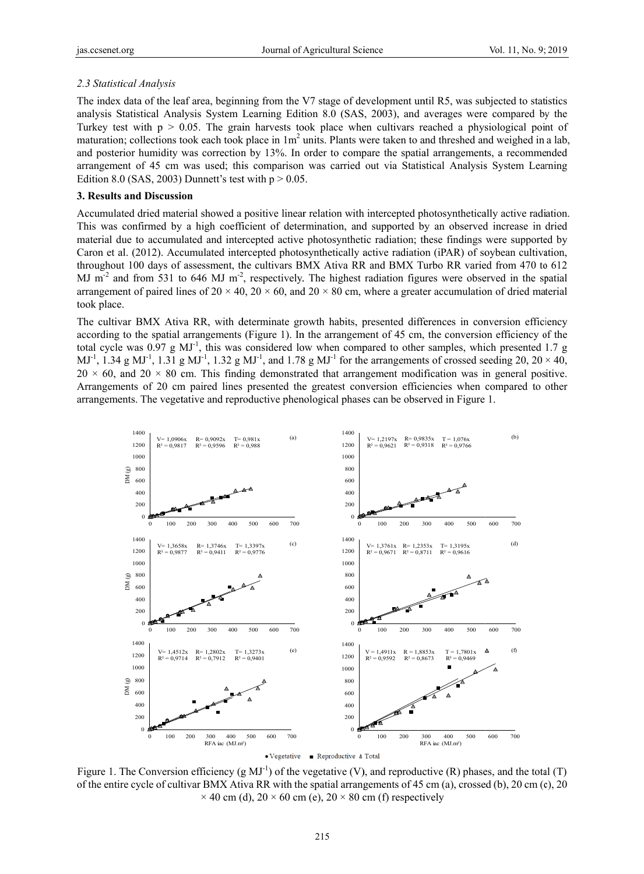### 2.3 Statistical Analysis

The index data of the leaf area, beginning from the V7 stage of development until R5, was subjected to statistics analysis Statistical Analysis System Learning Edition 8.0 (SAS, 2003), and averages were compared by the Turkey test with  $p > 0.05$ . The grain harvests took place when cultivars reached a physiological point of maturation; collections took each took place in  $1m<sup>2</sup>$  units. Plants were taken to and threshed and weighed in a lab, and posterior humidity was correction by 13%. In order to compare the spatial arrangements, a recommended arrangement of 45 cm was used; this comparison was carried out via Statistical Analysis System Learning Edition 8.0 (SAS, 2003) Dunnett's test with  $p > 0.05$ .

#### 3. Results and Discussion

Accumulated dried material showed a positive linear relation with intercepted photosynthetically active radiation. This was confirmed by a high coefficient of determination, and supported by an observed increase in dried material due to accumulated and intercepted active photosynthetic radiation; these findings were supported by Caron et al. (2012). Accumulated intercepted photosynthetically active radiation (iPAR) of soybean cultivation, throughout 100 days of assessment, the cultivars BMX Ativa RR and BMX Turbo RR varied from 470 to 612 MJ m<sup>-2</sup> and from 531 to 646 MJ m<sup>-2</sup>, respectively. The highest radiation figures were observed in the spatial arrangement of paired lines of 20  $\times$  40, 20  $\times$  60, and 20  $\times$  80 cm, where a greater accumulation of dried material took place.

The cultivar BMX Ativa RR, with determinate growth habits, presented differences in conversion efficiency according to the spatial arrangements (Figure 1). In the arrangement of 45 cm, the conversion efficiency of the total cycle was 0.97 g  $MJ<sup>-1</sup>$ , this was considered low when compared to other samples, which presented 1.7 g  $MJ^{-1}$ , 1.34 g MJ<sup>-1</sup>, 1.31 g MJ<sup>-1</sup>, 1.32 g MJ<sup>-1</sup>, and 1.78 g MJ<sup>-1</sup> for the arrangements of crossed seeding 20, 20 × 40,  $20 \times 60$ , and  $20 \times 80$  cm. This finding demonstrated that arrangement modification was in general positive. Arrangements of 20 cm paired lines presented the greatest conversion efficiencies when compared to other arrangements. The vegetative and reproductive phenological phases can be observed in Figure 1.



Figure 1. The Conversion efficiency (g MJ<sup>-1</sup>) of the vegetative (V), and reproductive (R) phases, and the total (T) of the entire cycle of cultivar BMX Ativa RR with the spatial arrangements of 45 cm (a), crossed (b), 20 cm (c), 20  $\times$  40 cm (d), 20  $\times$  60 cm (e), 20  $\times$  80 cm (f) respectively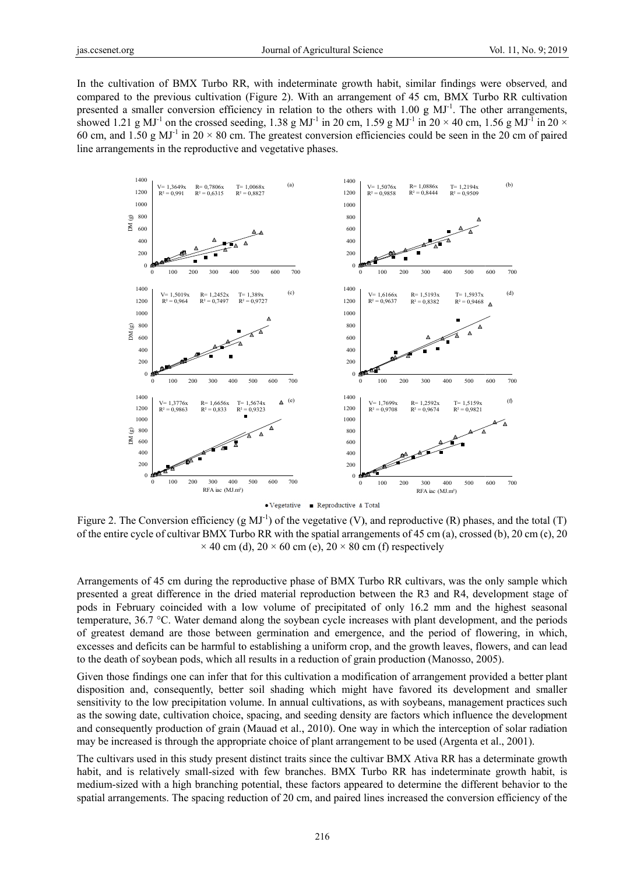In the cultivation of BMX Turbo RR, with indeterminate growth habit, similar findings were observed, and compared to the previous cultivation (Figure 2). With an arrangement of 45 cm, BMX Turbo RR cultivation presented a smaller conversion efficiency in relation to the others with 1.00 g  $MJ^{-1}$ . The other arrangements, showed 1.21 g MJ<sup>-1</sup> on the crossed seeding, 1.38 g MJ<sup>-1</sup> in 20 cm, 1.59 g MJ<sup>-1</sup> in 20  $\times$  40 cm, 1.56 g MJ<sup>-1</sup> in 20  $\times$ 60 cm, and 1.50 g MJ<sup>-1</sup> in 20  $\times$  80 cm. The greatest conversion efficiencies could be seen in the 20 cm of paired line arrangements in the reproductive and vegetative phases.



Figure 2. The Conversion efficiency (g MJ<sup>-1</sup>) of the vegetative (V), and reproductive (R) phases, and the total (T) of the entire cycle of cultivar BMX Turbo RR with the spatial arrangements of 45 cm (a), crossed (b), 20 cm (c), 20  $\times$  40 cm (d), 20  $\times$  60 cm (e), 20  $\times$  80 cm (f) respectively

Arrangements of 45 cm during the reproductive phase of BMX Turbo RR cultivars, was the only sample which presented a great difference in the dried material reproduction between the R3 and R4, development stage of pods in February coincided with a low volume of precipitated of only 16.2 mm and the highest seasonal temperature, 36.7 °C. Water demand along the sovbean cycle increases with plant development, and the periods of greatest demand are those between germination and emergence, and the period of flowering, in which, excesses and deficits can be harmful to establishing a uniform crop, and the growth leaves, flowers, and can lead to the death of soybean pods, which all results in a reduction of grain production (Manosso, 2005).

Given those findings one can infer that for this cultivation a modification of arrangement provided a better plant disposition and, consequently, better soil shading which might have favored its development and smaller sensitivity to the low precipitation volume. In annual cultivations, as with soybeans, management practices such as the sowing date, cultivation choice, spacing, and seeding density are factors which influence the development and consequently production of grain (Mauad et al., 2010). One way in which the interception of solar radiation may be increased is through the appropriate choice of plant arrangement to be used (Argenta et al., 2001).

The cultivars used in this study present distinct traits since the cultivar BMX Ativa RR has a determinate growth habit, and is relatively small-sized with few branches. BMX Turbo RR has indeterminate growth habit, is medium-sized with a high branching potential, these factors appeared to determine the different behavior to the spatial arrangements. The spacing reduction of 20 cm, and paired lines increased the conversion efficiency of the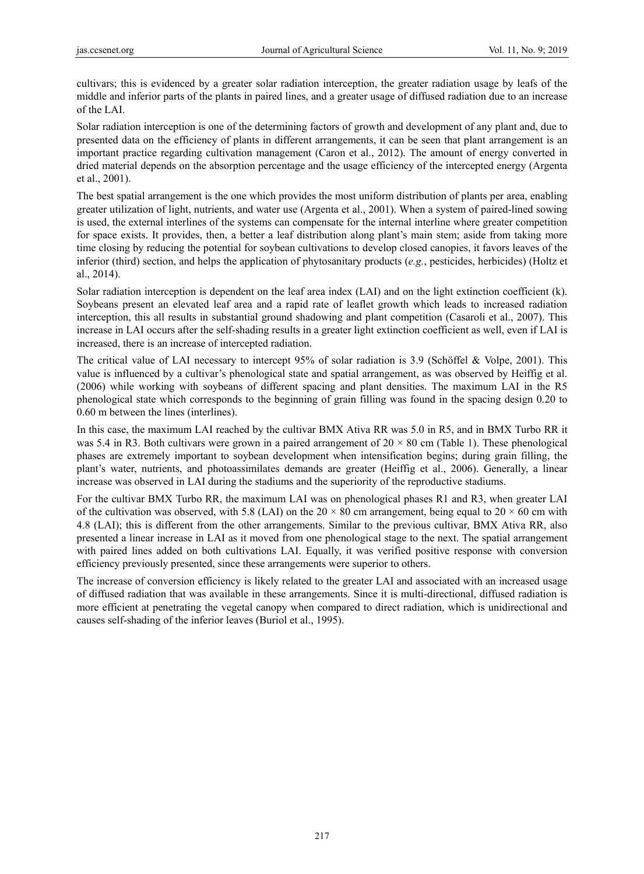cultivars; this is evidenced by a greater solar radiation interception, the greater radiation usage by leafs of the middle and inferior parts of the plants in paired lines, and a greater usage of diffused radiation due to an increase of the LAI.

Solar radiation interception is one of the determining factors of growth and development of any plant and, due to presented data on the efficiency of plants in different arrangements, it can be seen that plant arrangement is an important practice regarding cultivation management (Caron et al., 2012). The amount of energy converted in dried material depends on the absorption percentage and the usage efficiency of the intercepted energy (Argenta et al., 2001).

The best spatial arrangement is the one which provides the most uniform distribution of plants per area, enabling greater utilization of light, nutrients, and water use (Argenta et al., 2001). When a system of paired-lined sowing is used, the external interlines of the systems can compensate for the internal interline where greater competition for space exists. It provides, then, a better a leaf distribution along plant's main stem; aside from taking more time closing by reducing the potential for soybean cultivations to develop closed canopies, it favors leaves of the inferior (third) section, and helps the application of phytosanitary products (*e.g.*, pesticides, herbicides) (Holtz et al., 2014).

Solar radiation interception is dependent on the leaf area index (LAI) and on the light extinction coefficient (k). Soybeans present an elevated leaf area and a rapid rate of leaflet growth which leads to increased radiation interception, this all results in substantial ground shadowing and plant competition (Casaroli et al., 2007). This increase in LAI occurs after the self-shading results in a greater light extinction coefficient as well, even if LAI is increased, there is an increase of intercepted radiation.

The critical value of LAI necessary to intercept 95% of solar radiation is 3.9 (Schöffel & Volpe, 2001). This value is influenced by a cultivar's phenological state and spatial arrangement, as was observed by Heiffig et al. (2006) while working with soybeans of different spacing and plant densities. The maximum LAI in the R5 phenological state which corresponds to the beginning of grain filling was found in the spacing design 0.20 to 0.60 m between the lines (interlines).

In this case, the maximum LAI reached by the cultivar BMX Ativa RR was 5.0 in R5, and in BMX Turbo RR it was 5.4 in R3. Both cultivars were grown in a paired arrangement of  $20 \times 80$  cm (Table 1). These phenological phases are extremely important to soybean development when intensification begins; during grain filling, the plant's water, nutrients, and photoassimilates demands are greater (Heiffig et al., 2006). Generally, a linear increase was observed in LAI during the stadiums and the superiority of the reproductive stadiums.

For the cultivar BMX Turbo RR, the maximum LAI was on phenological phases R1 and R3, when greater LAI of the cultivation was observed, with 5.8 (LAI) on the 20  $\times$  80 cm arrangement, being equal to 20  $\times$  60 cm with 4.8 (LAI); this is different from the other arrangements. Similar to the previous cultivar, BMX Ativa RR, also presented a linear increase in LAI as it moved from one phenological stage to the next. The spatial arrangement with paired lines added on both cultivations LAI. Equally, it was verified positive response with conversion efficiency previously presented, since these arrangements were superior to others.

The increase of conversion efficiency is likely related to the greater LAI and associated with an increased usage of diffused radiation that was available in these arrangements. Since it is multi-directional, diffused radiation is more efficient at penetrating the vegetal canopy when compared to direct radiation, which is unidirectional and causes self-shading of the inferior leaves (Buriol et al., 1995).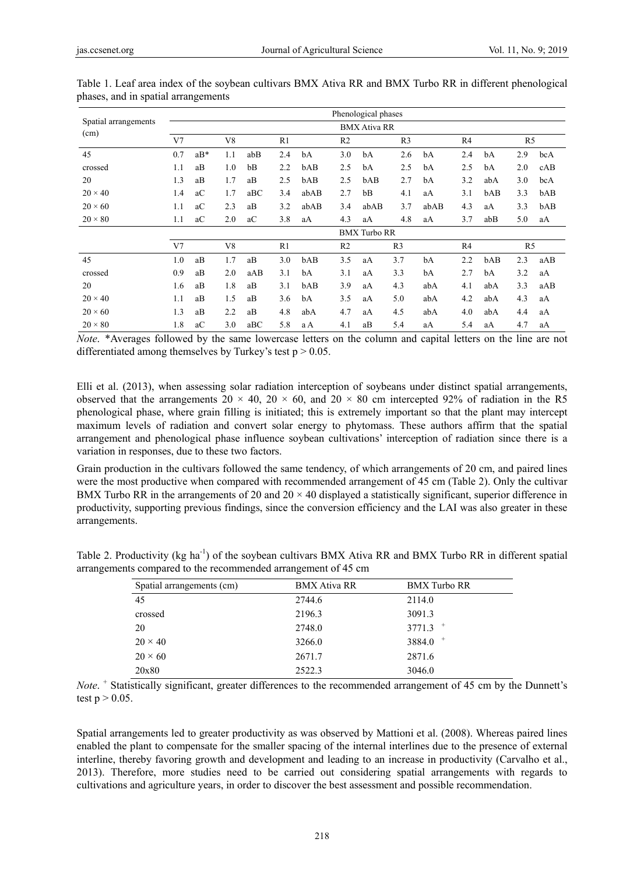|                      |                     |       |                |     |     |      |                | Phenological phases |                |      |                |     |                |     |
|----------------------|---------------------|-------|----------------|-----|-----|------|----------------|---------------------|----------------|------|----------------|-----|----------------|-----|
| Spatial arrangements | <b>BMX Ativa RR</b> |       |                |     |     |      |                |                     |                |      |                |     |                |     |
| (cm)                 | V <sub>7</sub>      |       | V <sub>8</sub> |     | R1  |      | R <sub>2</sub> |                     | R <sub>3</sub> |      | R <sub>4</sub> |     | R5             |     |
| 45                   | 0.7                 | $aB*$ | 1.1            | abB | 2.4 | bA   | 3.0            | bA                  | 2.6            | bA   | 2.4            | bA  | 2.9            | bcA |
| crossed              | 1.1                 | aB    | 1.0            | bB  | 2.2 | bAB  | 2.5            | bA                  | 2.5            | bA   | 2.5            | bA  | 2.0            | cAB |
| 20                   | 1.3                 | aB    | 1.7            | aB  | 2.5 | bAB  | 2.5            | bAB                 | 2.7            | bA   | 3.2            | abA | 3.0            | bcA |
| $20 \times 40$       | 1.4                 | aC    | 1.7            | aBC | 3.4 | abAB | 2.7            | bB                  | 4.1            | aA   | 3.1            | bAB | 3.3            | bAB |
| $20 \times 60$       | 1.1                 | aC    | 2.3            | aB  | 3.2 | abAB | 3.4            | abAB                | 3.7            | abAB | 4.3            | aA  | 3.3            | bAB |
| $20 \times 80$       | 1.1                 | aC    | 2.0            | aC  | 3.8 | aA   | 4.3            | aA                  | 4.8            | aA   | 3.7            | abB | 5.0            | aA  |
|                      | <b>BMX</b> Turbo RR |       |                |     |     |      |                |                     |                |      |                |     |                |     |
|                      | V <sub>7</sub>      |       | V8             |     | R1  |      | R <sub>2</sub> |                     | R <sub>3</sub> |      | R4             |     | R <sub>5</sub> |     |
| 45                   | 1.0                 | aB    | 1.7            | aB  | 3.0 | bAB  | 3.5            | aA                  | 3.7            | bA   | 2.2            | bAB | 2.3            | aAB |
| crossed              | 0.9                 | aB    | 2.0            | aAB | 3.1 | bA   | 3.1            | aA                  | 3.3            | bA   | 2.7            | bA  | 3.2            | aA  |
| 20                   | 1.6                 | aB    | 1.8            | aB  | 3.1 | bAB  | 3.9            | aA                  | 4.3            | abA  | 4.1            | abA | 3.3            | aAB |
| $20 \times 40$       | 1.1                 | aB    | 1.5            | aB  | 3.6 | bA   | 3.5            | aA                  | 5.0            | abA  | 4.2            | abA | 4.3            | aA  |
| $20 \times 60$       | 1.3                 | aB    | 2.2            | aB  | 4.8 | abA  | 4.7            | aA                  | 4.5            | abA  | 4.0            | abA | 4.4            | aA  |
| $20 \times 80$       | 1.8                 | aC    | 3.0            | aBC | 5.8 | a A  | 4.1            | aB                  | 5.4            | aA   | 5.4            | aA  | 4.7            | aA  |

Table 1. Leaf area index of the soybean cultivars BMX Ativa RR and BMX Turbo RR in different phenological phases, and in spatial arrangements

*Note*. \*Averages followed by the same lowercase letters on the column and capital letters on the line are not differentiated among themselves by Turkey's test  $p > 0.05$ .

Elli et al. (2013), when assessing solar radiation interception of soybeans under distinct spatial arrangements, observed that the arrangements 20  $\times$  40, 20  $\times$  60, and 20  $\times$  80 cm intercepted 92% of radiation in the R5 phenological phase, where grain filling is initiated; this is extremely important so that the plant may intercept maximum levels of radiation and convert solar energy to phytomass. These authors affirm that the spatial arrangement and phenological phase influence soybean cultivations' interception of radiation since there is a variation in responses, due to these two factors.

Grain production in the cultivars followed the same tendency, of which arrangements of 20 cm, and paired lines were the most productive when compared with recommended arrangement of 45 cm (Table 2). Only the cultivar BMX Turbo RR in the arrangements of 20 and  $20 \times 40$  displayed a statistically significant, superior difference in productivity, supporting previous findings, since the conversion efficiency and the LAI was also greater in these arrangements.

| Table 2. Productivity (kg ha <sup>-1</sup> ) of the soybean cultivars BMX Ativa RR and BMX Turbo RR in different spatial |  |  |
|--------------------------------------------------------------------------------------------------------------------------|--|--|
| arrangements compared to the recommended arrangement of 45 cm                                                            |  |  |

| <b>BMX Ativa RR</b><br><b>BMX</b> Turbo RR<br>Spatial arrangements (cm)<br>45<br>2114.0<br>2744.6<br>2196.3<br>3091.3<br>crossed<br>$^{+}$<br>3771.3<br>20<br>2748.0<br>$^{+}$<br>3884.0<br>$20 \times 40$<br>3266.0<br>$20 \times 60$<br>2671.7<br>2871.6<br>20x80<br>2522.3<br>3046.0 |  |  |
|-----------------------------------------------------------------------------------------------------------------------------------------------------------------------------------------------------------------------------------------------------------------------------------------|--|--|
|                                                                                                                                                                                                                                                                                         |  |  |
|                                                                                                                                                                                                                                                                                         |  |  |
|                                                                                                                                                                                                                                                                                         |  |  |
|                                                                                                                                                                                                                                                                                         |  |  |
|                                                                                                                                                                                                                                                                                         |  |  |
|                                                                                                                                                                                                                                                                                         |  |  |
|                                                                                                                                                                                                                                                                                         |  |  |

*Note*. <sup>+</sup> Statistically significant, greater differences to the recommended arrangement of 45 cm by the Dunnett's test  $p > 0.05$ .

Spatial arrangements led to greater productivity as was observed by Mattioni et al. (2008). Whereas paired lines enabled the plant to compensate for the smaller spacing of the internal interlines due to the presence of external interline, thereby favoring growth and development and leading to an increase in productivity (Carvalho et al., 2013). Therefore, more studies need to be carried out considering spatial arrangements with regards to cultivations and agriculture years, in order to discover the best assessment and possible recommendation.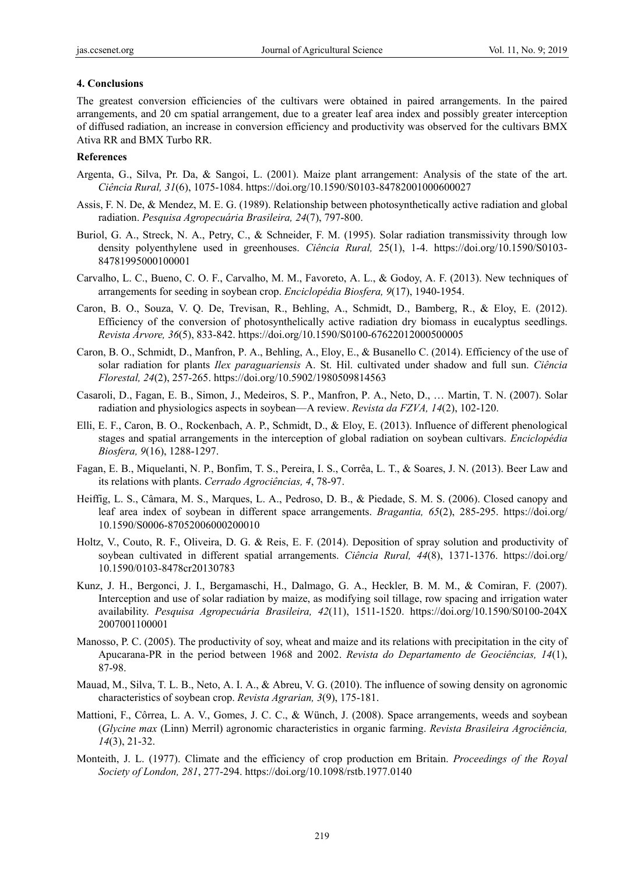#### **4. Conclusions**

The greatest conversion efficiencies of the cultivars were obtained in paired arrangements. In the paired arrangements, and 20 cm spatial arrangement, due to a greater leaf area index and possibly greater interception of diffused radiation, an increase in conversion efficiency and productivity was observed for the cultivars BMX Ativa RR and BMX Turbo RR.

## **References**

- Argenta, G., Silva, Pr. Da, & Sangoi, L. (2001). Maize plant arrangement: Analysis of the state of the art. *Ciência Rural, 31*(6), 1075-1084. https://doi.org/10.1590/S0103-84782001000600027
- Assis, F. N. De, & Mendez, M. E. G. (1989). Relationship between photosynthetically active radiation and global radiation. *Pesquisa Agropecuária Brasileira, 24*(7), 797-800.
- Buriol, G. A., Streck, N. A., Petry, C., & Schneider, F. M. (1995). Solar radiation transmissivity through low density polyenthylene used in greenhouses. *Ciência Rural,* 25(1), 1-4. https://doi.org/10.1590/S0103- 84781995000100001
- Carvalho, L. C., Bueno, C. O. F., Carvalho, M. M., Favoreto, A. L., & Godoy, A. F. (2013). New techniques of arrangements for seeding in soybean crop. *Enciclopédia Biosfera, 9*(17), 1940-1954.
- Caron, B. O., Souza, V. Q. De, Trevisan, R., Behling, A., Schmidt, D., Bamberg, R., & Eloy, E. (2012). Efficiency of the conversion of photosynthelically active radiation dry biomass in eucalyptus seedlings. *Revista Árvore, 36*(5), 833-842. https://doi.org/10.1590/S0100-67622012000500005
- Caron, B. O., Schmidt, D., Manfron, P. A., Behling, A., Eloy, E., & Busanello C. (2014). Efficiency of the use of solar radiation for plants *Ilex paraguariensis* A. St. Hil. cultivated under shadow and full sun. *Ciência Florestal, 24*(2), 257-265. https://doi.org/10.5902/1980509814563
- Casaroli, D., Fagan, E. B., Simon, J., Medeiros, S. P., Manfron, P. A., Neto, D., … Martin, T. N. (2007). Solar radiation and physiologics aspects in soybean—A review. *Revista da FZVA, 14*(2), 102-120.
- Elli, E. F., Caron, B. O., Rockenbach, A. P., Schmidt, D., & Eloy, E. (2013). Influence of different phenological stages and spatial arrangements in the interception of global radiation on soybean cultivars. *Enciclopédia Biosfera, 9*(16), 1288-1297.
- Fagan, E. B., Miquelanti, N. P., Bonfim, T. S., Pereira, I. S., Corrêa, L. T., & Soares, J. N. (2013). Beer Law and its relations with plants. *Cerrado Agrociências, 4*, 78-97.
- Heiffig, L. S., Câmara, M. S., Marques, L. A., Pedroso, D. B., & Piedade, S. M. S. (2006). Closed canopy and leaf area index of soybean in different space arrangements. *Bragantia, 65*(2), 285-295. https://doi.org/ 10.1590/S0006-87052006000200010
- Holtz, V., Couto, R. F., Oliveira, D. G. & Reis, E. F. (2014). Deposition of spray solution and productivity of soybean cultivated in different spatial arrangements. *Ciência Rural, 44*(8), 1371-1376. https://doi.org/ 10.1590/0103-8478cr20130783
- Kunz, J. H., Bergonci, J. I., Bergamaschi, H., Dalmago, G. A., Heckler, B. M. M., & Comiran, F. (2007). Interception and use of solar radiation by maize, as modifying soil tillage, row spacing and irrigation water availability. *Pesquisa Agropecuária Brasileira, 42*(11), 1511-1520. https://doi.org/10.1590/S0100-204X 2007001100001
- Manosso, P. C. (2005). The productivity of soy, wheat and maize and its relations with precipitation in the city of Apucarana-PR in the period between 1968 and 2002. *Revista do Departamento de Geociências, 14*(1), 87-98.
- Mauad, M., Silva, T. L. B., Neto, A. I. A., & Abreu, V. G. (2010). The influence of sowing density on agronomic characteristics of soybean crop. *Revista Agrarian, 3*(9), 175-181.
- Mattioni, F., Côrrea, L. A. V., Gomes, J. C. C., & Wünch, J. (2008). Space arrangements, weeds and soybean (*Glycine max* (Linn) Merril) agronomic characteristics in organic farming. *Revista Brasileira Agrociência, 14*(3), 21-32.
- Monteith, J. L. (1977). Climate and the efficiency of crop production em Britain. *Proceedings of the Royal Society of London, 281*, 277-294. https://doi.org/10.1098/rstb.1977.0140